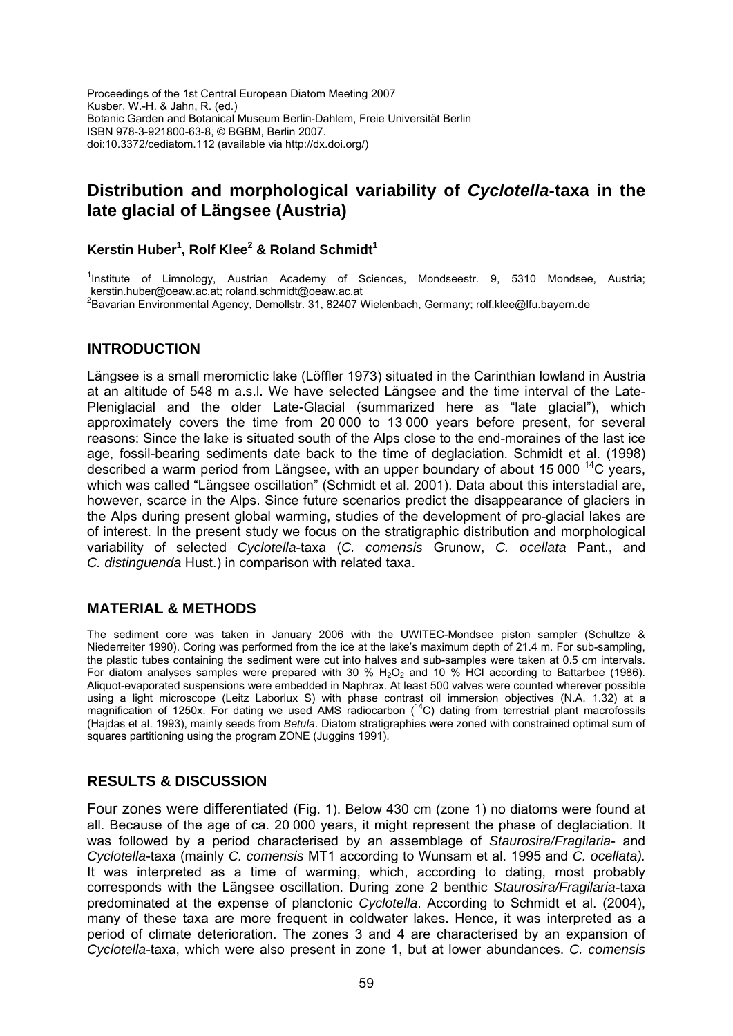Proceedings of the 1st Central European Diatom Meeting 2007 Kusber, W.-H. & Jahn, R. (ed.) Botanic Garden and Botanical Museum Berlin-Dahlem, Freie Universität Berlin ISBN 978-3-921800-63-8, © BGBM, Berlin 2007. doi:10.3372/cediatom.112 (available via http://dx.doi.org/)

# **Distribution and morphological variability of** *Cyclotella***-taxa in the late glacial of Längsee (Austria)**

## Kerstin Huber<sup>1</sup>, Rolf Klee<sup>2</sup> & Roland Schmidt<sup>1</sup>

<sup>1</sup>Institute of Limnology, Austrian Academy of Sciences, Mondseestr. 9, 5310 Mondsee, Austria; kerstin.huber@oeaw.ac.at; roland.schmidt@oeaw.ac.at 2 Bavarian Environmental Agency, Demollstr. 31, 82407 Wielenbach, Germany; rolf.klee@lfu.bayern.de

## **INTRODUCTION**

Längsee is a small meromictic lake (Löffler 1973) situated in the Carinthian lowland in Austria at an altitude of 548 m a.s.l. We have selected Längsee and the time interval of the Late-Pleniglacial and the older Late-Glacial (summarized here as "late glacial"), which approximately covers the time from 20 000 to 13 000 years before present, for several reasons: Since the lake is situated south of the Alps close to the end-moraines of the last ice age, fossil-bearing sediments date back to the time of deglaciation. Schmidt et al. (1998) described a warm period from Längsee, with an upper boundary of about 15 000  $^{14}$ C years. which was called "Längsee oscillation" (Schmidt et al. 2001). Data about this interstadial are, however, scarce in the Alps. Since future scenarios predict the disappearance of glaciers in the Alps during present global warming, studies of the development of pro-glacial lakes are of interest. In the present study we focus on the stratigraphic distribution and morphological variability of selected *Cyclotella*-taxa (*C. comensis* Grunow, *C. ocellata* Pant., and *C. distinguenda* Hust.) in comparison with related taxa.

# **MATERIAL & METHODS**

The sediment core was taken in January 2006 with the UWITEC-Mondsee piston sampler (Schultze & Niederreiter 1990). Coring was performed from the ice at the lake's maximum depth of 21.4 m. For sub-sampling, the plastic tubes containing the sediment were cut into halves and sub-samples were taken at 0.5 cm intervals. For diatom analyses samples were prepared with 30 %  $H_2O_2$  and 10 % HCl according to Battarbee (1986). Aliquot-evaporated suspensions were embedded in Naphrax. At least 500 valves were counted wherever possible using a light microscope (Leitz Laborlux S) with phase contrast oil immersion objectives (N.A. 1.32) at a magnification of 1250x. For dating we used AMS radiocarbon (<sup>14</sup>C) dating from terrestrial plant macrofossils (Hajdas et al. 1993), mainly seeds from *Betula*. Diatom stratigraphies were zoned with constrained optimal sum of squares partitioning using the program ZONE (Juggins 1991).

# **RESULTS & DISCUSSION**

Four zones were differentiated (Fig. 1). Below 430 cm (zone 1) no diatoms were found at all. Because of the age of ca. 20 000 years, it might represent the phase of deglaciation. It was followed by a period characterised by an assemblage of *Staurosira/Fragilaria*- and *Cyclotella*-taxa (mainly *C. comensis* MT1 according to Wunsam et al. 1995 and *C. ocellata).*  It was interpreted as a time of warming, which, according to dating, most probably corresponds with the Längsee oscillation. During zone 2 benthic *Staurosira/Fragilaria*-taxa predominated at the expense of planctonic *Cyclotella*. According to Schmidt et al. (2004), many of these taxa are more frequent in coldwater lakes. Hence, it was interpreted as a period of climate deterioration. The zones 3 and 4 are characterised by an expansion of *Cyclotella*-taxa, which were also present in zone 1, but at lower abundances. *C. comensis*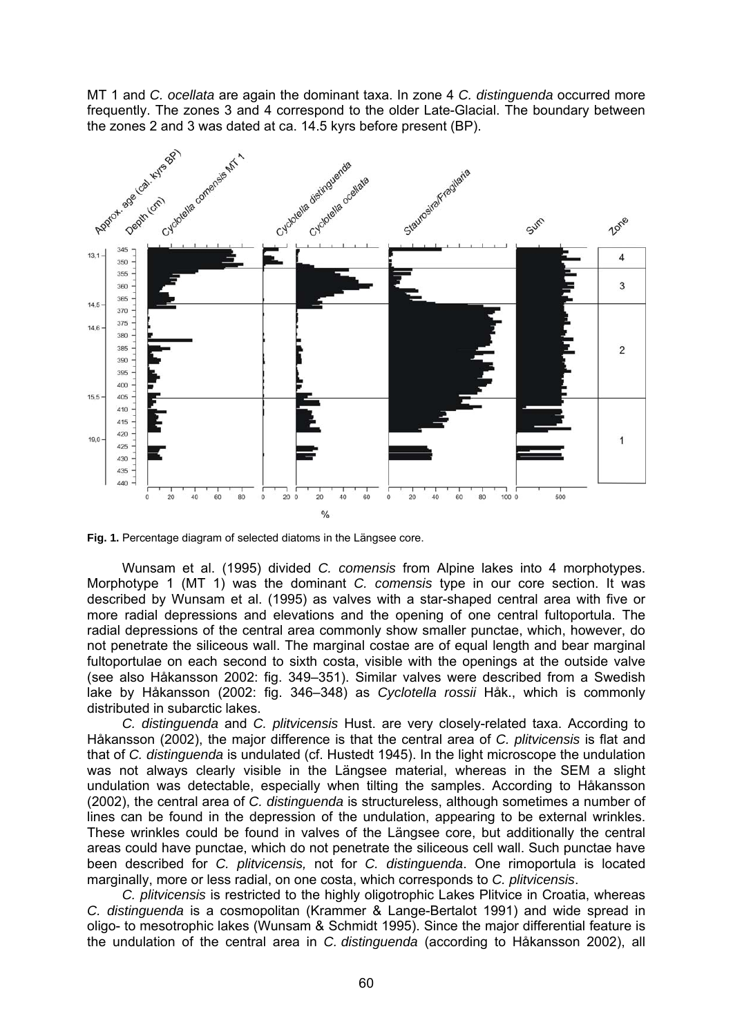MT 1 and *C. ocellata* are again the dominant taxa. In zone 4 *C. distinguenda* occurred more frequently. The zones 3 and 4 correspond to the older Late-Glacial. The boundary between the zones 2 and 3 was dated at ca. 14.5 kyrs before present (BP).



**Fig. 1.** Percentage diagram of selected diatoms in the Längsee core.

Wunsam et al. (1995) divided *C. comensis* from Alpine lakes into 4 morphotypes. Morphotype 1 (MT 1) was the dominant *C. comensis* type in our core section. It was described by Wunsam et al. (1995) as valves with a star-shaped central area with five or more radial depressions and elevations and the opening of one central fultoportula. The radial depressions of the central area commonly show smaller punctae, which, however, do not penetrate the siliceous wall. The marginal costae are of equal length and bear marginal fultoportulae on each second to sixth costa, visible with the openings at the outside valve (see also Håkansson 2002: fig. 349–351). Similar valves were described from a Swedish lake by Håkansson (2002: fig. 346–348) as *Cyclotella rossii* Håk., which is commonly distributed in subarctic lakes.

*C. distinguenda* and *C. plitvicensis* Hust. are very closely-related taxa. According to Håkansson (2002), the major difference is that the central area of *C. plitvicensis* is flat and that of *C. distinguenda* is undulated (cf. Hustedt 1945). In the light microscope the undulation was not always clearly visible in the Längsee material, whereas in the SEM a slight undulation was detectable, especially when tilting the samples. According to Håkansson (2002), the central area of *C. distinguenda* is structureless, although sometimes a number of lines can be found in the depression of the undulation, appearing to be external wrinkles. These wrinkles could be found in valves of the Längsee core, but additionally the central areas could have punctae, which do not penetrate the siliceous cell wall. Such punctae have been described for *C. plitvicensis,* not for *C. distinguenda*. One rimoportula is located marginally, more or less radial, on one costa, which corresponds to *C. plitvicensis*.

*C. plitvicensis* is restricted to the highly oligotrophic Lakes Plitvice in Croatia, whereas *C. distinguenda* is a cosmopolitan (Krammer & Lange-Bertalot 1991) and wide spread in oligo- to mesotrophic lakes (Wunsam & Schmidt 1995). Since the major differential feature is the undulation of the central area in *C. distinguenda* (according to Håkansson 2002), all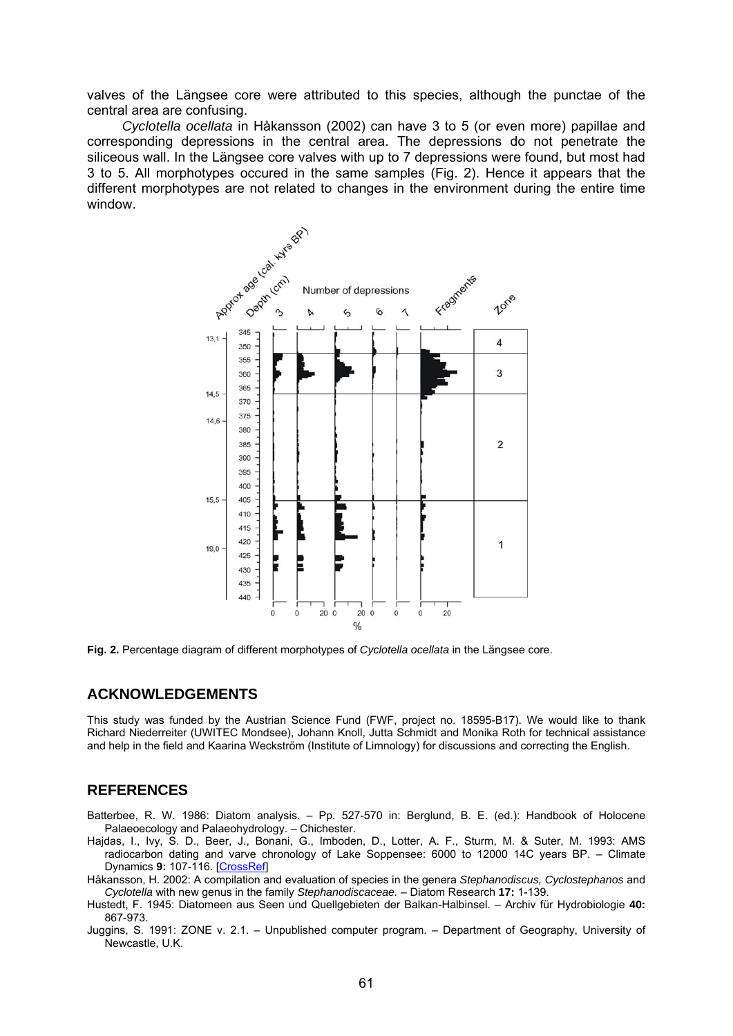valves of the Längsee core were attributed to this species, although the punctae of the central area are confusing.

*Cyclotella ocellata* in Håkansson (2002) can have 3 to 5 (or even more) papillae and corresponding depressions in the central area. The depressions do not penetrate the siliceous wall. In the Längsee core valves with up to 7 depressions were found, but most had 3 to 5. All morphotypes occured in the same samples (Fig. 2). Hence it appears that the different morphotypes are not related to changes in the environment during the entire time window.



**Fig. 2.** Percentage diagram of different morphotypes of *Cyclotella ocellata* in the Längsee core.

#### **ACKNOWLEDGEMENTS**

This study was funded by the Austrian Science Fund (FWF, project no. 18595-B17). We would like to thank Richard Niederreiter (UWITEC Mondsee), Johann Knoll, Jutta Schmidt and Monika Roth for technical assistance and help in the field and Kaarina Weckström (Institute of Limnology) for discussions and correcting the English.

#### **REFERENCES**

- Batterbee, R. W. 1986: Diatom analysis. Pp. 527-570 in: Berglund, B. E. (ed.): Handbook of Holocene Palaeoecology and Palaeohydrology. – Chichester.
- Hajdas, I., Ivy, S. D., Beer, J., Bonani, G., Imboden, D., Lotter, A. F., Sturm, M. & Suter, M. 1993: AMS radiocarbon dating and varve chronology of Lake Soppensee: 6000 to 12000 14C years BP. – Climate Dynamics **9:** 107-116. [\[CrossRef\]](http://dx.doi.org/10.1007/BF00209748)
- Håkansson, H. 2002: A compilation and evaluation of species in the genera *Stephanodiscus, Cyclostephanos* and *Cyclotella* with new genus in the family *Stephanodiscaceae.* – Diatom Research **17:** 1-139.
- Hustedt, F. 1945: Diatomeen aus Seen und Quellgebieten der Balkan-Halbinsel. Archiv für Hydrobiologie **40:**  867-973.
- Juggins, S. 1991: ZONE v. 2.1. Unpublished computer program. Department of Geography, University of Newcastle, U.K.